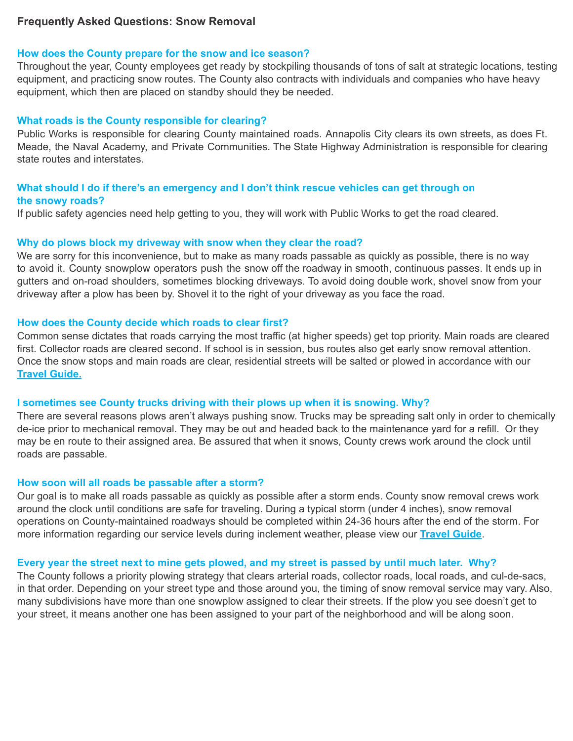# **Frequently Asked Questions: Snow Removal**

### **How does the County prepare for the snow and ice season?**

Throughout the year, County employees get ready by stockpiling thousands of tons of salt at strategic locations, testing equipment, and practicing snow routes. The County also contracts with individuals and companies who have heavy equipment, which then are placed on standby should they be needed.

#### **What roads is the County responsible for clearing?**

Public Works is responsible for clearing County maintained roads. Annapolis City clears its own streets, as does Ft. Meade, the Naval Academy, and Private Communities. The State Highway Administration is responsible for clearing state routes and interstates.

# **What should I do if there's an emergency and I don't think rescue vehicles can get through on the snowy roads?**

If public safety agencies need help getting to you, they will work with Public Works to get the road cleared.

#### **Why do plows block my driveway with snow when they clear the road?**

We are sorry for this inconvenience, but to make as many roads passable as quickly as possible, there is no way to avoid it. County snowplow operators push the snow off the roadway in smooth, continuous passes. It ends up in gutters and on-road shoulders, sometimes blocking driveways. To avoid doing double work, shovel snow from your driveway after a plow has been by. Shovel it to the right of your driveway as you face the road.

#### **How does the County decide which roads to clear first?**

Common sense dictates that roads carrying the most traffic (at higher speeds) get top priority. Main roads are cleared first. Collector roads are cleared second. If school is in session, bus routes also get early snow removal attention. Once the snow stops and main roads are clear, residential streets will be salted or plowed in accordance with our **Travel [Guide.](http://www.aacounty.org/departments/public-works/highways/forms-and-publications/TravelGuide.pdf)**

#### **I sometimes see County trucks driving with their plows up when it is snowing. Why?**

There are several reasons plows aren't always pushing snow. Trucks may be spreading salt only in order to chemically de-ice prior to mechanical removal. They may be out and headed back to the maintenance yard for a refill. Or they may be en route to their assigned area. Be assured that when it snows, County crews work around the clock until roads are passable.

#### **How soon will all roads be passable after a storm?**

Our goal is to make all roads passable as quickly as possible after a storm ends. County snow removal crews work around the clock until conditions are safe for traveling. During a typical storm (under 4 inches), snow removal operations on County-maintained roadways should be completed within 24-36 hours after the end of the storm. For more information regarding our service levels during inclement weather, please view our **[Travel](http://www.aacounty.org/departments/public-works/highways/forms-and-publications/TravelGuide.pdf) Guide**.

### Every year the street next to mine gets plowed, and my street is passed by until much later. Why?

The County follows a priority plowing strategy that clears arterial roads, collector roads, local roads, and cul-de-sacs, in that order. Depending on your street type and those around you, the timing of snow removal service may vary. Also, many subdivisions have more than one snowplow assigned to clear their streets. If the plow you see doesn't get to your street, it means another one has been assigned to your part of the neighborhood and will be along soon.